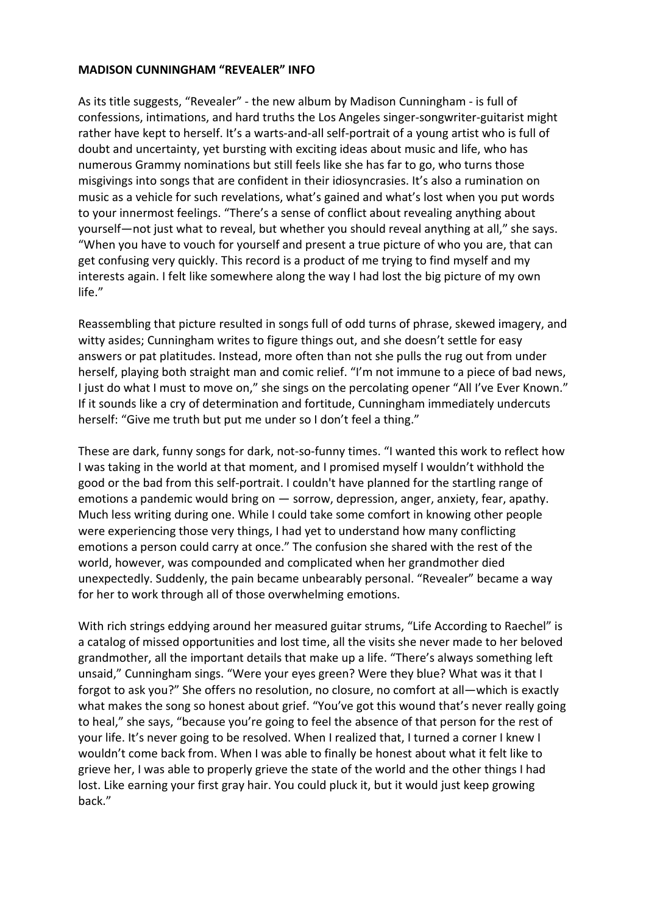## **MADISON CUNNINGHAM "REVEALER" INFO**

As its title suggests, "Revealer" - the new album by Madison Cunningham - is full of confessions, intimations, and hard truths the Los Angeles singer-songwriter-guitarist might rather have kept to herself. It's a warts-and-all self-portrait of a young artist who is full of doubt and uncertainty, yet bursting with exciting ideas about music and life, who has numerous Grammy nominations but still feels like she has far to go, who turns those misgivings into songs that are confident in their idiosyncrasies. It's also a rumination on music as a vehicle for such revelations, what's gained and what's lost when you put words to your innermost feelings. "There's a sense of conflict about revealing anything about yourself—not just what to reveal, but whether you should reveal anything at all," she says. "When you have to vouch for yourself and present a true picture of who you are, that can get confusing very quickly. This record is a product of me trying to find myself and my interests again. I felt like somewhere along the way I had lost the big picture of my own life."

Reassembling that picture resulted in songs full of odd turns of phrase, skewed imagery, and witty asides; Cunningham writes to figure things out, and she doesn't settle for easy answers or pat platitudes. Instead, more often than not she pulls the rug out from under herself, playing both straight man and comic relief. "I'm not immune to a piece of bad news, I just do what I must to move on," she sings on the percolating opener "All I've Ever Known." If it sounds like a cry of determination and fortitude, Cunningham immediately undercuts herself: "Give me truth but put me under so I don't feel a thing."

These are dark, funny songs for dark, not-so-funny times. "I wanted this work to reflect how I was taking in the world at that moment, and I promised myself I wouldn't withhold the good or the bad from this self-portrait. I couldn't have planned for the startling range of emotions a pandemic would bring on — sorrow, depression, anger, anxiety, fear, apathy. Much less writing during one. While I could take some comfort in knowing other people were experiencing those very things, I had yet to understand how many conflicting emotions a person could carry at once." The confusion she shared with the rest of the world, however, was compounded and complicated when her grandmother died unexpectedly. Suddenly, the pain became unbearably personal. "Revealer" became a way for her to work through all of those overwhelming emotions.

With rich strings eddying around her measured guitar strums, "Life According to Raechel" is a catalog of missed opportunities and lost time, all the visits she never made to her beloved grandmother, all the important details that make up a life. "There's always something left unsaid," Cunningham sings. "Were your eyes green? Were they blue? What was it that I forgot to ask you?" She offers no resolution, no closure, no comfort at all—which is exactly what makes the song so honest about grief. "You've got this wound that's never really going to heal," she says, "because you're going to feel the absence of that person for the rest of your life. It's never going to be resolved. When I realized that, I turned a corner I knew I wouldn't come back from. When I was able to finally be honest about what it felt like to grieve her, I was able to properly grieve the state of the world and the other things I had lost. Like earning your first gray hair. You could pluck it, but it would just keep growing back."